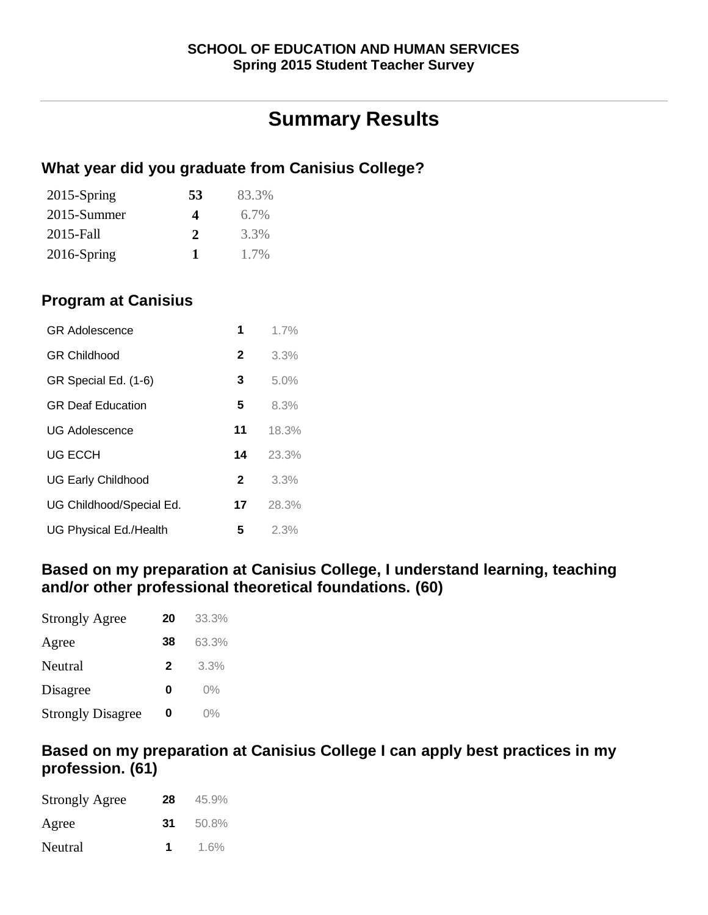# **Summary Results**

## **What year did you graduate from Canisius College?**

| $2015$ -Spring | 53 | 83.3%   |
|----------------|----|---------|
| 2015-Summer    | 4  | $6.7\%$ |
| 2015-Fall      | 2  | 3.3%    |
| $2016$ -Spring | 1  | 1.7%    |

## **Program at Canisius**

| 1            | 1.7%  |
|--------------|-------|
| $\mathbf{2}$ | 3.3%  |
| 3            | 5.0%  |
| 5            | 8.3%  |
| 11           | 18.3% |
| 14           | 23.3% |
| $\mathbf{2}$ | 3.3%  |
| 17           | 28.3% |
| 5            | 2.3%  |
|              |       |

### **Based on my preparation at Canisius College, I understand learning, teaching and/or other professional theoretical foundations. (60)**

| <b>Strongly Agree</b>    | 20 | 33.3% |
|--------------------------|----|-------|
| Agree                    | 38 | 63.3% |
| Neutral                  | 2  | 3.3%  |
| Disagree                 | O  | $0\%$ |
| <b>Strongly Disagree</b> | 0  | 0%    |

### **Based on my preparation at Canisius College I can apply best practices in my profession. (61)**

| <b>Strongly Agree</b> | 28 | 45.9% |
|-----------------------|----|-------|
| Agree                 | 31 | 50.8% |
| Neutral               | 1  | 1.6%  |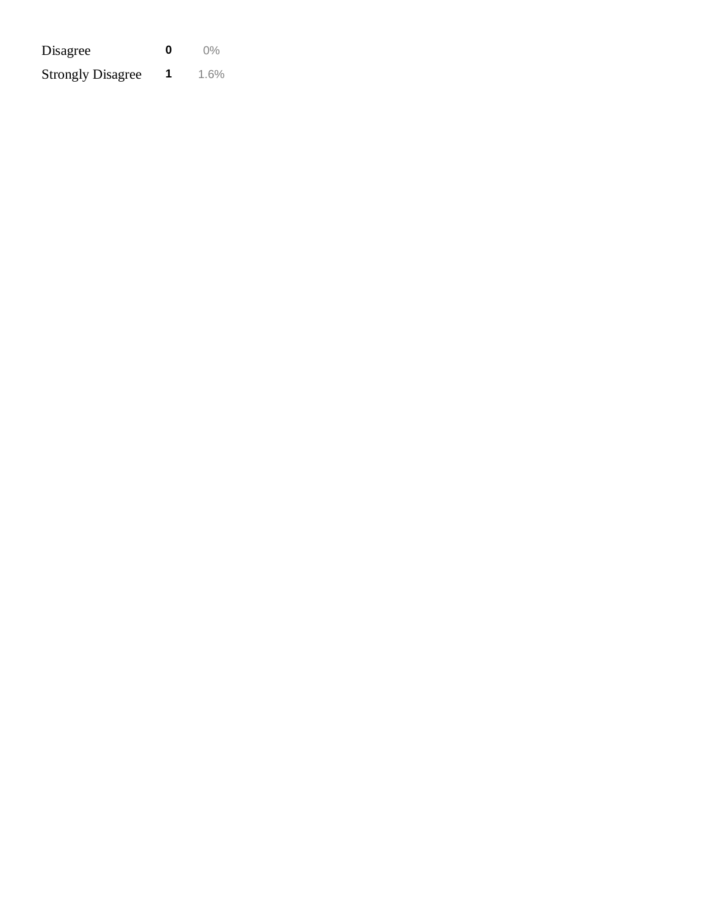| Disagree                 | n | $0\%$ |
|--------------------------|---|-------|
| <b>Strongly Disagree</b> | 1 | 1.6%  |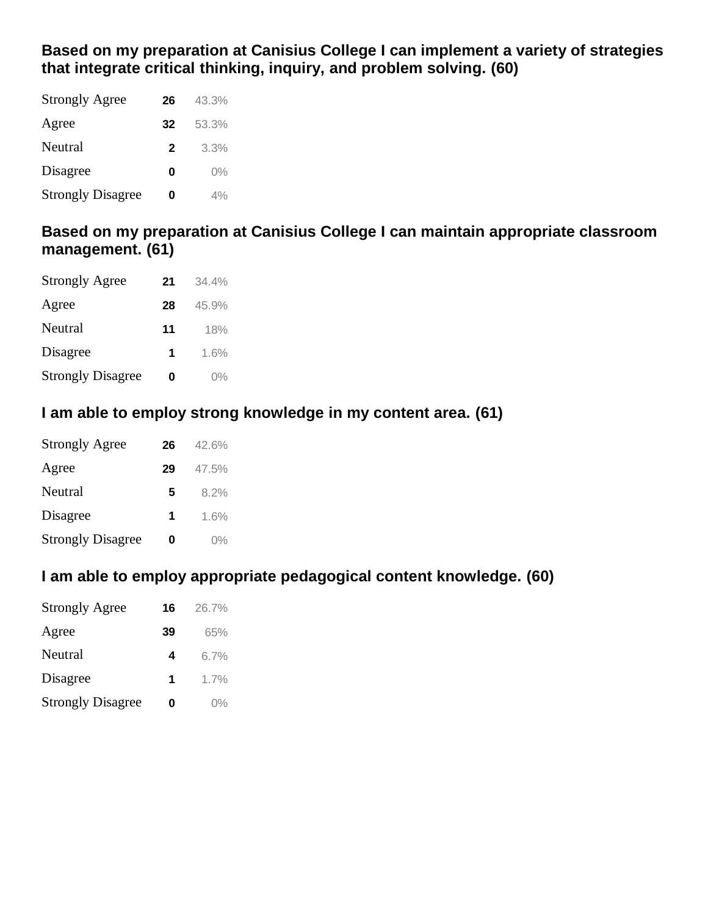## **Based on my preparation at Canisius College I can implement a variety of strategies that integrate critical thinking, inquiry, and problem solving. (60)**

| <b>Strongly Agree</b>    | 26          | 43.3% |
|--------------------------|-------------|-------|
| Agree                    | 32          | 53.3% |
| Neutral                  | $\mathbf 2$ | 3.3%  |
| Disagree                 | Ω           | $0\%$ |
| <b>Strongly Disagree</b> | Ω           | 4%    |

## **Based on my preparation at Canisius College I can maintain appropriate classroom management. (61)**

| <b>Strongly Agree</b>    | 21 | 34.4% |
|--------------------------|----|-------|
| Agree                    | 28 | 45.9% |
| Neutral                  | 11 | 18%   |
| Disagree                 | 1  | 1.6%  |
| <b>Strongly Disagree</b> | Ω  | $0\%$ |

## **I am able to employ strong knowledge in my content area. (61)**

| <b>Strongly Agree</b>    | 26 | 42.6% |
|--------------------------|----|-------|
| Agree                    | 29 | 47.5% |
| Neutral                  | 5  | 8.2%  |
| Disagree                 | 1  | 1.6%  |
| <b>Strongly Disagree</b> | 0  | $0\%$ |

## **I am able to employ appropriate pedagogical content knowledge. (60)**

| <b>Strongly Agree</b>    | 16 | 26.7% |
|--------------------------|----|-------|
| Agree                    | 39 | 65%   |
| Neutral                  | 4  | 6.7%  |
| Disagree                 | 1  | 1.7%  |
| <b>Strongly Disagree</b> | Ω  | $0\%$ |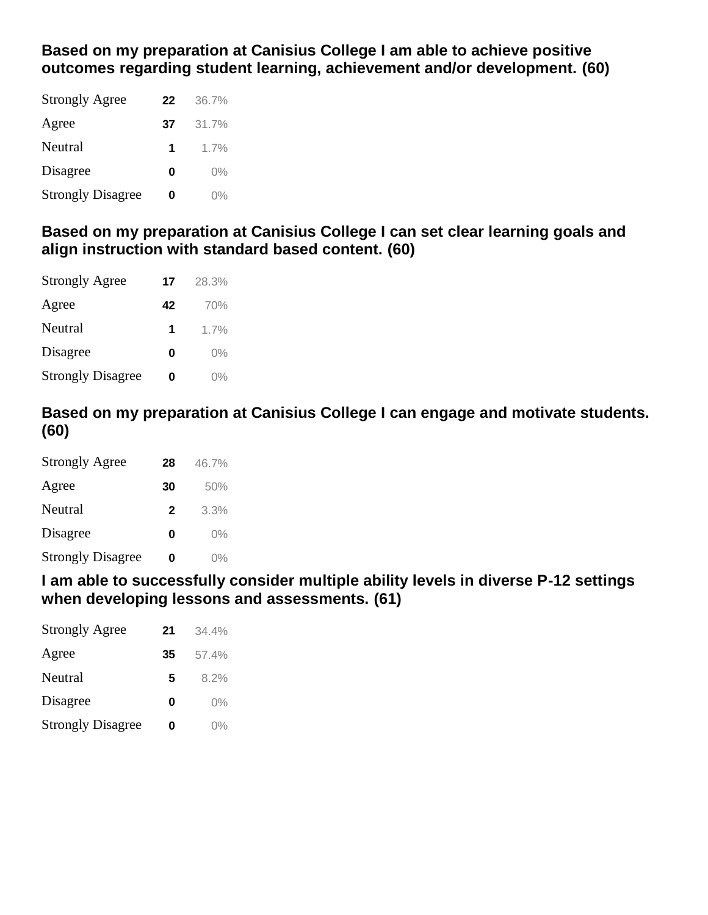**Based on my preparation at Canisius College I am able to achieve positive outcomes regarding student learning, achievement and/or development. (60)**

| <b>Strongly Agree</b>    | 22 | 36.7% |
|--------------------------|----|-------|
| Agree                    | 37 | 31.7% |
| Neutral                  | 1  | 1.7%  |
| Disagree                 | Ω  | $0\%$ |
| <b>Strongly Disagree</b> | ი  | $0\%$ |

**Based on my preparation at Canisius College I can set clear learning goals and align instruction with standard based content. (60)**

| <b>Strongly Agree</b>    | 17 | 28.3% |
|--------------------------|----|-------|
| Agree                    | 42 | 70%   |
| Neutral                  | 1  | 1.7%  |
| Disagree                 | Ω  | $0\%$ |
| <b>Strongly Disagree</b> | Ω  | $0\%$ |

**Based on my preparation at Canisius College I can engage and motivate students. (60)**

| <b>Strongly Agree</b>    | 28           | 46.7% |
|--------------------------|--------------|-------|
| Agree                    | 30           | 50%   |
| Neutral                  | $\mathbf{2}$ | 3.3%  |
| Disagree                 | Ω            | $0\%$ |
| <b>Strongly Disagree</b> | Ω            | $0\%$ |

## **I am able to successfully consider multiple ability levels in diverse P-12 settings when developing lessons and assessments. (61)**

| <b>Strongly Agree</b>    | 21 | 34.4% |
|--------------------------|----|-------|
| Agree                    | 35 | 57.4% |
| Neutral                  | 5  | 8.2%  |
| Disagree                 | Ω  | $0\%$ |
| <b>Strongly Disagree</b> | 0  | $0\%$ |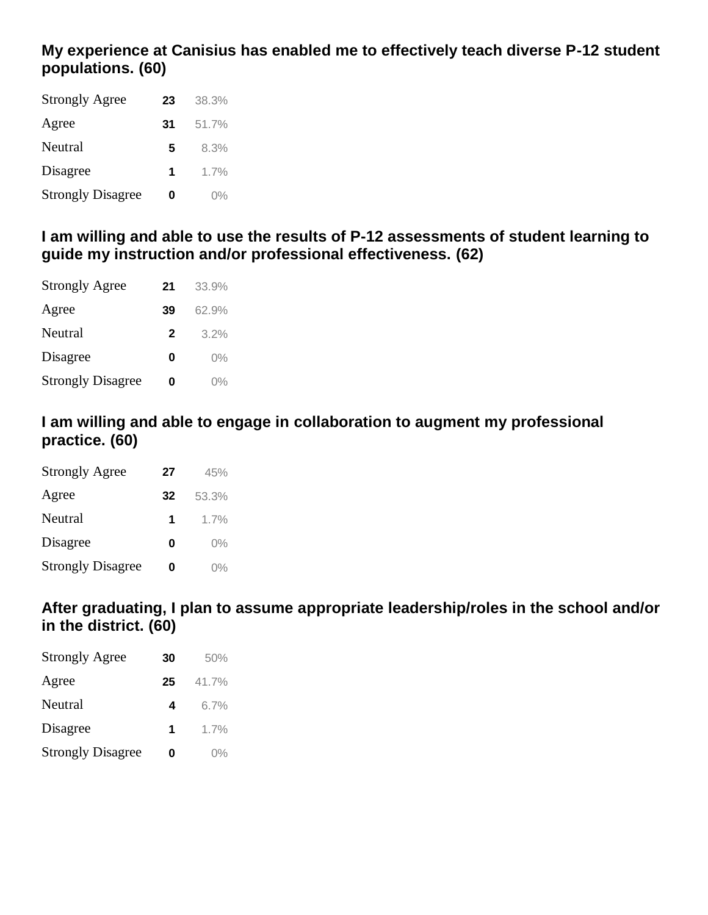## **My experience at Canisius has enabled me to effectively teach diverse P-12 student populations. (60)**

| <b>Strongly Agree</b>    | 23 | 38.3% |
|--------------------------|----|-------|
| Agree                    | 31 | 51.7% |
| Neutral                  | 5  | 8.3%  |
| Disagree                 | 1  | 1.7%  |
| <b>Strongly Disagree</b> | Ω  | $0\%$ |

## **I am willing and able to use the results of P-12 assessments of student learning to guide my instruction and/or professional effectiveness. (62)**

| <b>Strongly Agree</b>    | 21 | 33.9% |
|--------------------------|----|-------|
| Agree                    | 39 | 62.9% |
| Neutral                  | 2  | 3.2%  |
| Disagree                 | Ω  | $0\%$ |
| <b>Strongly Disagree</b> | Ω  | $0\%$ |

## **I am willing and able to engage in collaboration to augment my professional practice. (60)**

| <b>Strongly Agree</b>    | 27 | 45%   |
|--------------------------|----|-------|
| Agree                    | 32 | 53.3% |
| Neutral                  | 1  | 1.7%  |
| Disagree                 | Ω  | $0\%$ |
| <b>Strongly Disagree</b> | Ω  | $0\%$ |

## **After graduating, I plan to assume appropriate leadership/roles in the school and/or in the district. (60)**

| <b>Strongly Agree</b>    | 30 | 50%   |
|--------------------------|----|-------|
| Agree                    | 25 | 41.7% |
| Neutral                  | 4  | 6.7%  |
| Disagree                 | 1  | 1.7%  |
| <b>Strongly Disagree</b> | Ω  | $0\%$ |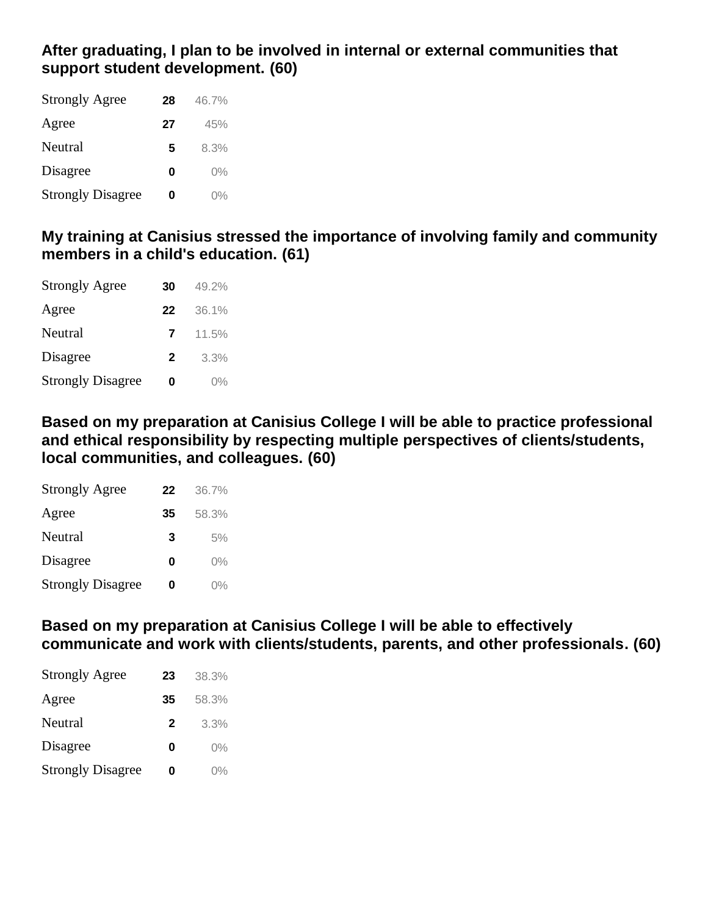## **After graduating, I plan to be involved in internal or external communities that support student development. (60)**

| <b>Strongly Agree</b>    | 28 | 46.7% |
|--------------------------|----|-------|
| Agree                    | 27 | 45%   |
| Neutral                  | 5  | 8.3%  |
| Disagree                 | Ω  | $0\%$ |
| <b>Strongly Disagree</b> | Ω  | $0\%$ |

## **My training at Canisius stressed the importance of involving family and community members in a child's education. (61)**

| <b>Strongly Agree</b>    | 30 | $49.2\%$ |
|--------------------------|----|----------|
| Agree                    | 22 | 36.1%    |
| Neutral                  | 7  | 11.5%    |
| Disagree                 | 2  | 3.3%     |
| <b>Strongly Disagree</b> | Ω  | $0\%$    |

**Based on my preparation at Canisius College I will be able to practice professional and ethical responsibility by respecting multiple perspectives of clients/students, local communities, and colleagues. (60)**

| <b>Strongly Agree</b>    | 22 | 36.7% |
|--------------------------|----|-------|
| Agree                    | 35 | 58.3% |
| Neutral                  | 3  | 5%    |
| Disagree                 | Ω  | $0\%$ |
| <b>Strongly Disagree</b> | 0  | $0\%$ |

**Based on my preparation at Canisius College I will be able to effectively communicate and work with clients/students, parents, and other professionals. (60)**

| <b>Strongly Agree</b>    | 23           | 38.3% |
|--------------------------|--------------|-------|
| Agree                    | 35           | 58.3% |
| Neutral                  | $\mathbf{2}$ | 3.3%  |
| Disagree                 | Ω            | $0\%$ |
| <b>Strongly Disagree</b> | 0            | $0\%$ |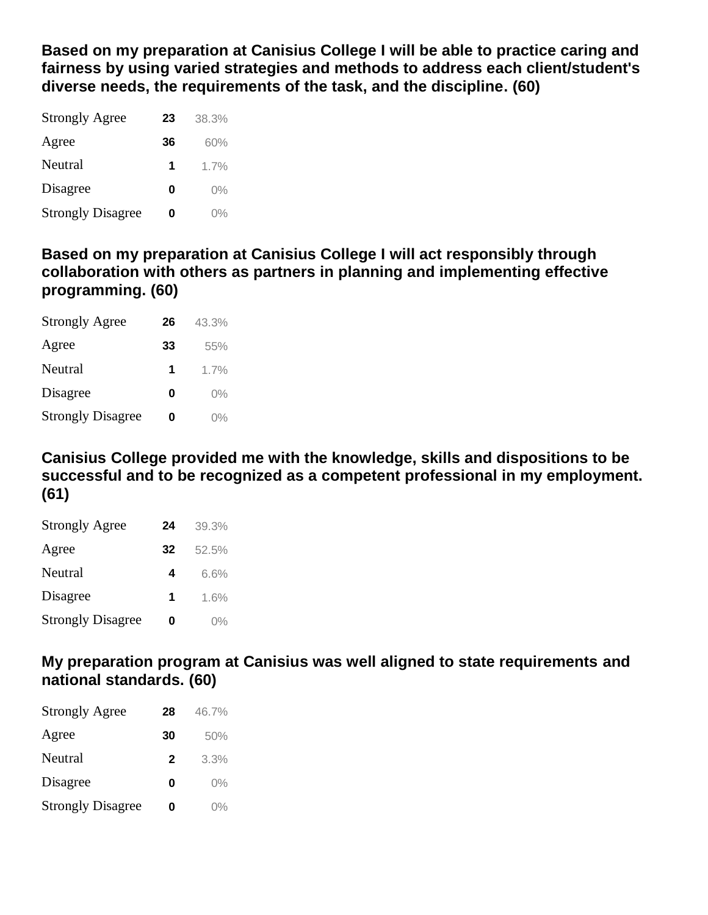**Based on my preparation at Canisius College I will be able to practice caring and fairness by using varied strategies and methods to address each client/student's diverse needs, the requirements of the task, and the discipline. (60)**

| <b>Strongly Agree</b>    | 23 | 38.3% |
|--------------------------|----|-------|
| Agree                    | 36 | 60%   |
| Neutral                  | 1  | 1.7%  |
| Disagree                 | Ω  | $0\%$ |
| <b>Strongly Disagree</b> | O  | በ%    |

**Based on my preparation at Canisius College I will act responsibly through collaboration with others as partners in planning and implementing effective programming. (60)**

| <b>Strongly Agree</b>    | 26 | 43.3% |
|--------------------------|----|-------|
| Agree                    | 33 | 55%   |
| Neutral                  | 1  | 1.7%  |
| Disagree                 | Ω  | $0\%$ |
| <b>Strongly Disagree</b> | O  | በ%    |

**Canisius College provided me with the knowledge, skills and dispositions to be successful and to be recognized as a competent professional in my employment. (61)**

| <b>Strongly Agree</b>    | 24 | 39.3% |
|--------------------------|----|-------|
| Agree                    | 32 | 52.5% |
| Neutral                  | 4  | 6.6%  |
| Disagree                 | 1  | 1.6%  |
| <b>Strongly Disagree</b> | Ω  | $0\%$ |

**My preparation program at Canisius was well aligned to state requirements and national standards. (60)**

| <b>Strongly Agree</b>    | 28           | 46.7% |
|--------------------------|--------------|-------|
| Agree                    | 30           | 50%   |
| Neutral                  | $\mathbf{2}$ | 3.3%  |
| Disagree                 | Ω            | $0\%$ |
| <b>Strongly Disagree</b> | Ω            | $0\%$ |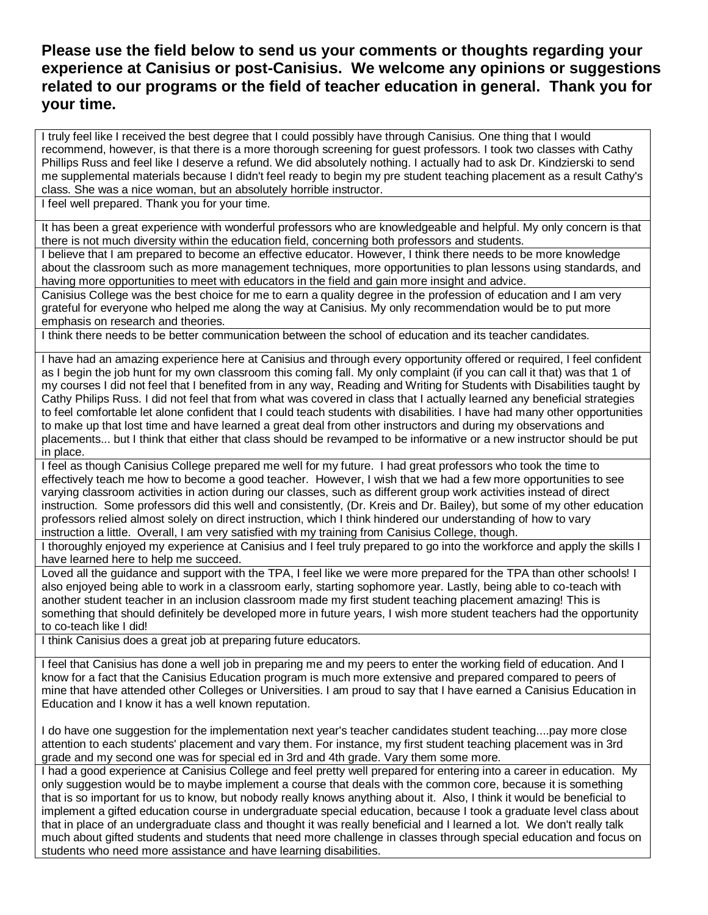### **Please use the field below to send us your comments or thoughts regarding your experience at Canisius or post-Canisius. We welcome any opinions or suggestions related to our programs or the field of teacher education in general. Thank you for your time.**

I truly feel like I received the best degree that I could possibly have through Canisius. One thing that I would recommend, however, is that there is a more thorough screening for guest professors. I took two classes with Cathy Phillips Russ and feel like I deserve a refund. We did absolutely nothing. I actually had to ask Dr. Kindzierski to send me supplemental materials because I didn't feel ready to begin my pre student teaching placement as a result Cathy's class. She was a nice woman, but an absolutely horrible instructor.

I feel well prepared. Thank you for your time.

It has been a great experience with wonderful professors who are knowledgeable and helpful. My only concern is that there is not much diversity within the education field, concerning both professors and students.

I believe that I am prepared to become an effective educator. However, I think there needs to be more knowledge about the classroom such as more management techniques, more opportunities to plan lessons using standards, and having more opportunities to meet with educators in the field and gain more insight and advice.

Canisius College was the best choice for me to earn a quality degree in the profession of education and I am very grateful for everyone who helped me along the way at Canisius. My only recommendation would be to put more emphasis on research and theories.

I think there needs to be better communication between the school of education and its teacher candidates.

I have had an amazing experience here at Canisius and through every opportunity offered or required, I feel confident as I begin the job hunt for my own classroom this coming fall. My only complaint (if you can call it that) was that 1 of my courses I did not feel that I benefited from in any way, Reading and Writing for Students with Disabilities taught by Cathy Philips Russ. I did not feel that from what was covered in class that I actually learned any beneficial strategies to feel comfortable let alone confident that I could teach students with disabilities. I have had many other opportunities to make up that lost time and have learned a great deal from other instructors and during my observations and placements... but I think that either that class should be revamped to be informative or a new instructor should be put in place.

I feel as though Canisius College prepared me well for my future. I had great professors who took the time to effectively teach me how to become a good teacher. However, I wish that we had a few more opportunities to see varying classroom activities in action during our classes, such as different group work activities instead of direct instruction. Some professors did this well and consistently, (Dr. Kreis and Dr. Bailey), but some of my other education professors relied almost solely on direct instruction, which I think hindered our understanding of how to vary instruction a little. Overall, I am very satisfied with my training from Canisius College, though.

I thoroughly enjoyed my experience at Canisius and I feel truly prepared to go into the workforce and apply the skills I have learned here to help me succeed.

Loved all the guidance and support with the TPA, I feel like we were more prepared for the TPA than other schools! I also enjoyed being able to work in a classroom early, starting sophomore year. Lastly, being able to co-teach with another student teacher in an inclusion classroom made my first student teaching placement amazing! This is something that should definitely be developed more in future years, I wish more student teachers had the opportunity to co-teach like I did!

I think Canisius does a great job at preparing future educators.

I feel that Canisius has done a well job in preparing me and my peers to enter the working field of education. And I know for a fact that the Canisius Education program is much more extensive and prepared compared to peers of mine that have attended other Colleges or Universities. I am proud to say that I have earned a Canisius Education in Education and I know it has a well known reputation.

I do have one suggestion for the implementation next year's teacher candidates student teaching....pay more close attention to each students' placement and vary them. For instance, my first student teaching placement was in 3rd grade and my second one was for special ed in 3rd and 4th grade. Vary them some more.

I had a good experience at Canisius College and feel pretty well prepared for entering into a career in education. My only suggestion would be to maybe implement a course that deals with the common core, because it is something that is so important for us to know, but nobody really knows anything about it. Also, I think it would be beneficial to implement a gifted education course in undergraduate special education, because I took a graduate level class about that in place of an undergraduate class and thought it was really beneficial and I learned a lot. We don't really talk much about gifted students and students that need more challenge in classes through special education and focus on students who need more assistance and have learning disabilities.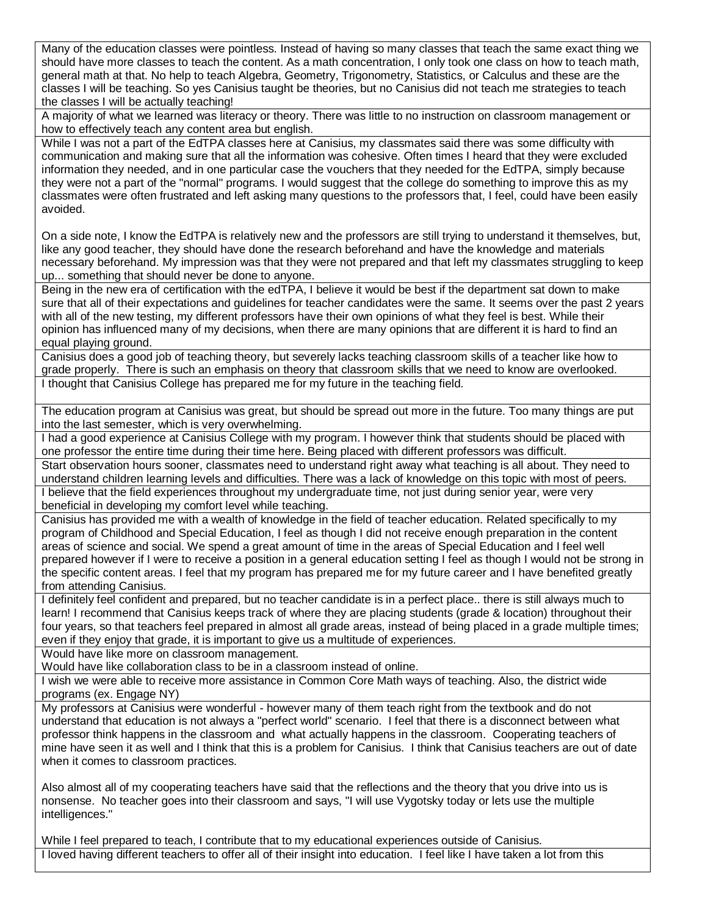Many of the education classes were pointless. Instead of having so many classes that teach the same exact thing we should have more classes to teach the content. As a math concentration, I only took one class on how to teach math, general math at that. No help to teach Algebra, Geometry, Trigonometry, Statistics, or Calculus and these are the classes I will be teaching. So yes Canisius taught be theories, but no Canisius did not teach me strategies to teach the classes I will be actually teaching!

A majority of what we learned was literacy or theory. There was little to no instruction on classroom management or how to effectively teach any content area but english.

While I was not a part of the EdTPA classes here at Canisius, my classmates said there was some difficulty with communication and making sure that all the information was cohesive. Often times I heard that they were excluded information they needed, and in one particular case the vouchers that they needed for the EdTPA, simply because they were not a part of the "normal" programs. I would suggest that the college do something to improve this as my classmates were often frustrated and left asking many questions to the professors that, I feel, could have been easily avoided.

On a side note, I know the EdTPA is relatively new and the professors are still trying to understand it themselves, but, like any good teacher, they should have done the research beforehand and have the knowledge and materials necessary beforehand. My impression was that they were not prepared and that left my classmates struggling to keep up... something that should never be done to anyone.

Being in the new era of certification with the edTPA, I believe it would be best if the department sat down to make sure that all of their expectations and guidelines for teacher candidates were the same. It seems over the past 2 years with all of the new testing, my different professors have their own opinions of what they feel is best. While their opinion has influenced many of my decisions, when there are many opinions that are different it is hard to find an equal playing ground.

Canisius does a good job of teaching theory, but severely lacks teaching classroom skills of a teacher like how to grade properly. There is such an emphasis on theory that classroom skills that we need to know are overlooked. I thought that Canisius College has prepared me for my future in the teaching field.

The education program at Canisius was great, but should be spread out more in the future. Too many things are put into the last semester, which is very overwhelming.

I had a good experience at Canisius College with my program. I however think that students should be placed with one professor the entire time during their time here. Being placed with different professors was difficult.

Start observation hours sooner, classmates need to understand right away what teaching is all about. They need to understand children learning levels and difficulties. There was a lack of knowledge on this topic with most of peers. I believe that the field experiences throughout my undergraduate time, not just during senior year, were very beneficial in developing my comfort level while teaching.

Canisius has provided me with a wealth of knowledge in the field of teacher education. Related specifically to my program of Childhood and Special Education, I feel as though I did not receive enough preparation in the content areas of science and social. We spend a great amount of time in the areas of Special Education and I feel well prepared however if I were to receive a position in a general education setting I feel as though I would not be strong in the specific content areas. I feel that my program has prepared me for my future career and I have benefited greatly from attending Canisius.

I definitely feel confident and prepared, but no teacher candidate is in a perfect place.. there is still always much to learn! I recommend that Canisius keeps track of where they are placing students (grade & location) throughout their four years, so that teachers feel prepared in almost all grade areas, instead of being placed in a grade multiple times; even if they enjoy that grade, it is important to give us a multitude of experiences.

Would have like more on classroom management.

Would have like collaboration class to be in a classroom instead of online.

I wish we were able to receive more assistance in Common Core Math ways of teaching. Also, the district wide programs (ex. Engage NY)

My professors at Canisius were wonderful - however many of them teach right from the textbook and do not understand that education is not always a "perfect world" scenario. I feel that there is a disconnect between what professor think happens in the classroom and what actually happens in the classroom. Cooperating teachers of mine have seen it as well and I think that this is a problem for Canisius. I think that Canisius teachers are out of date when it comes to classroom practices.

Also almost all of my cooperating teachers have said that the reflections and the theory that you drive into us is nonsense. No teacher goes into their classroom and says, "I will use Vygotsky today or lets use the multiple intelligences."

While I feel prepared to teach, I contribute that to my educational experiences outside of Canisius. I loved having different teachers to offer all of their insight into education. I feel like I have taken a lot from this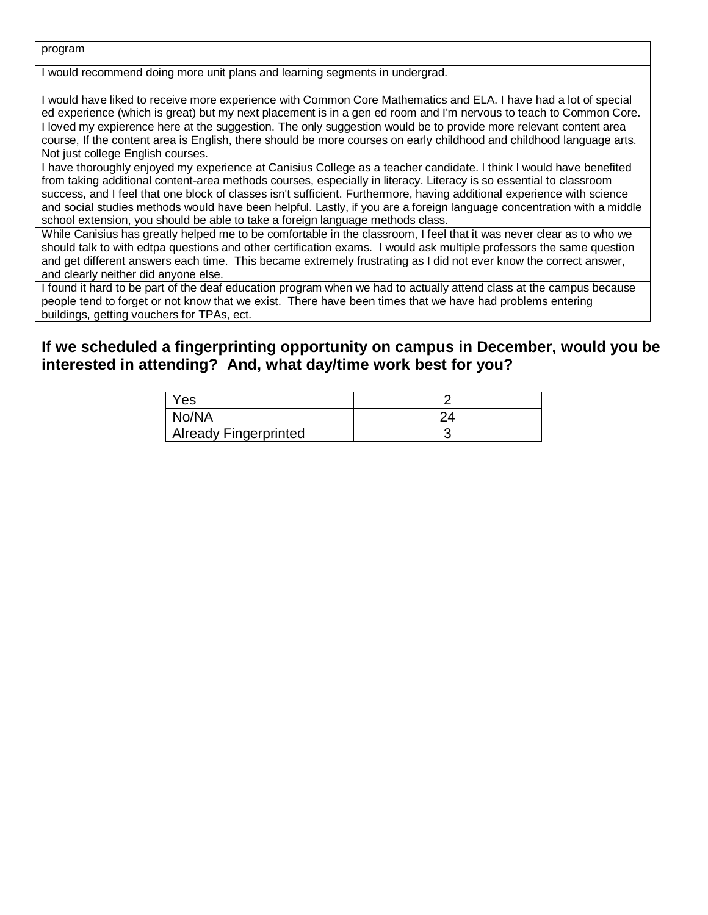program

I would recommend doing more unit plans and learning segments in undergrad.

I would have liked to receive more experience with Common Core Mathematics and ELA. I have had a lot of special ed experience (which is great) but my next placement is in a gen ed room and I'm nervous to teach to Common Core. I loved my expierence here at the suggestion. The only suggestion would be to provide more relevant content area course, If the content area is English, there should be more courses on early childhood and childhood language arts. Not just college English courses.

I have thoroughly enjoyed my experience at Canisius College as a teacher candidate. I think I would have benefited from taking additional content-area methods courses, especially in literacy. Literacy is so essential to classroom success, and I feel that one block of classes isn't sufficient. Furthermore, having additional experience with science and social studies methods would have been helpful. Lastly, if you are a foreign language concentration with a middle school extension, you should be able to take a foreign language methods class.

While Canisius has greatly helped me to be comfortable in the classroom, I feel that it was never clear as to who we should talk to with edtpa questions and other certification exams. I would ask multiple professors the same question and get different answers each time. This became extremely frustrating as I did not ever know the correct answer, and clearly neither did anyone else.

I found it hard to be part of the deaf education program when we had to actually attend class at the campus because people tend to forget or not know that we exist. There have been times that we have had problems entering buildings, getting vouchers for TPAs, ect.

### **If we scheduled a fingerprinting opportunity on campus in December, would you be interested in attending? And, what day/time work best for you?**

| Yes                   |  |
|-----------------------|--|
| No/NA                 |  |
| Already Fingerprinted |  |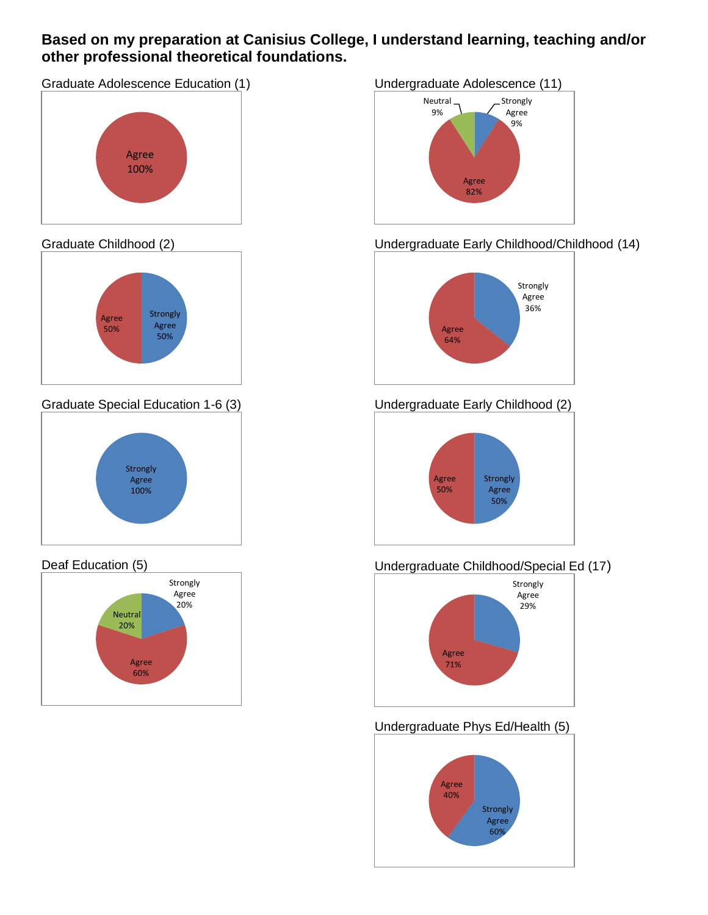### **Based on my preparation at Canisius College, I understand learning, teaching and/or other professional theoretical foundations.**



#### Graduate Childhood (2)



Graduate Special Education 1-6 (3)



### Deaf Education (5)



#### Undergraduate Adolescence (11)



## Undergraduate Early Childhood/Childhood (14)



## Undergraduate Early Childhood (2)



## Undergraduate Childhood/Special Ed (17)



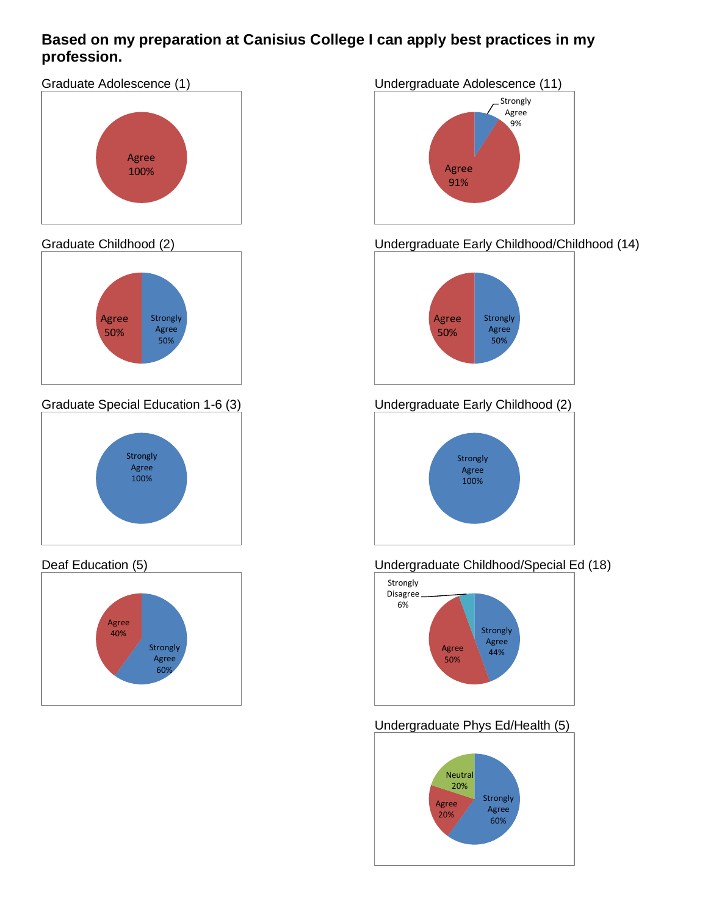### **Based on my preparation at Canisius College I can apply best practices in my profession.**



### Graduate Childhood (2)



Graduate Special Education 1-6 (3)



### Deaf Education (5)



### Undergraduate Adolescence (11)



## Undergraduate Early Childhood/Childhood (14)



## Undergraduate Early Childhood (2)



### Undergraduate Childhood/Special Ed (18)



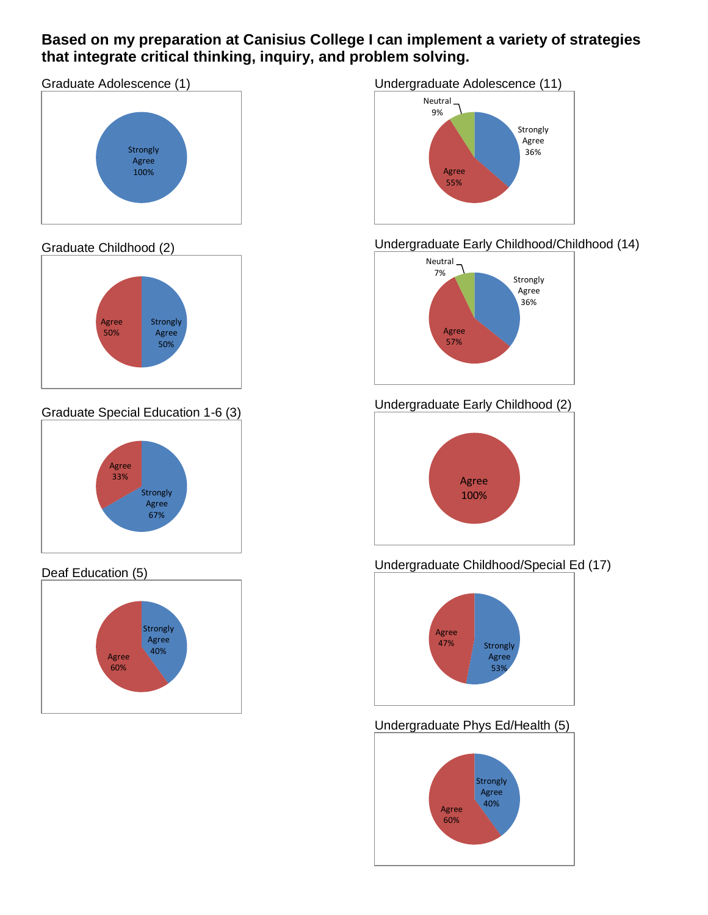### **Based on my preparation at Canisius College I can implement a variety of strategies that integrate critical thinking, inquiry, and problem solving.**



#### Graduate Childhood (2)



Graduate Special Education 1-6 (3)



### Deaf Education (5)



#### Undergraduate Adolescence (11)



### Undergraduate Early Childhood/Childhood (14)



### Undergraduate Early Childhood (2)



### Undergraduate Childhood/Special Ed (17)



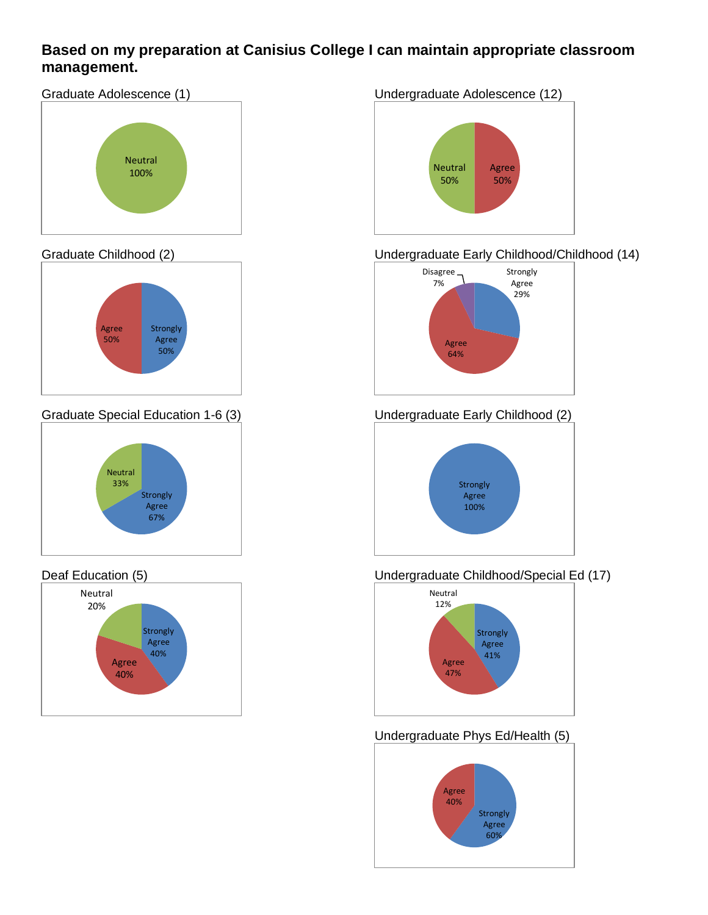### **Based on my preparation at Canisius College I can maintain appropriate classroom management.**

Graduate Adolescence (1)



#### Graduate Childhood (2)



Graduate Special Education 1-6 (3)



#### Deaf Education (5)



#### Undergraduate Adolescence (12)



### Undergraduate Early Childhood/Childhood (14)



### Undergraduate Early Childhood (2)



### Undergraduate Childhood/Special Ed (17)



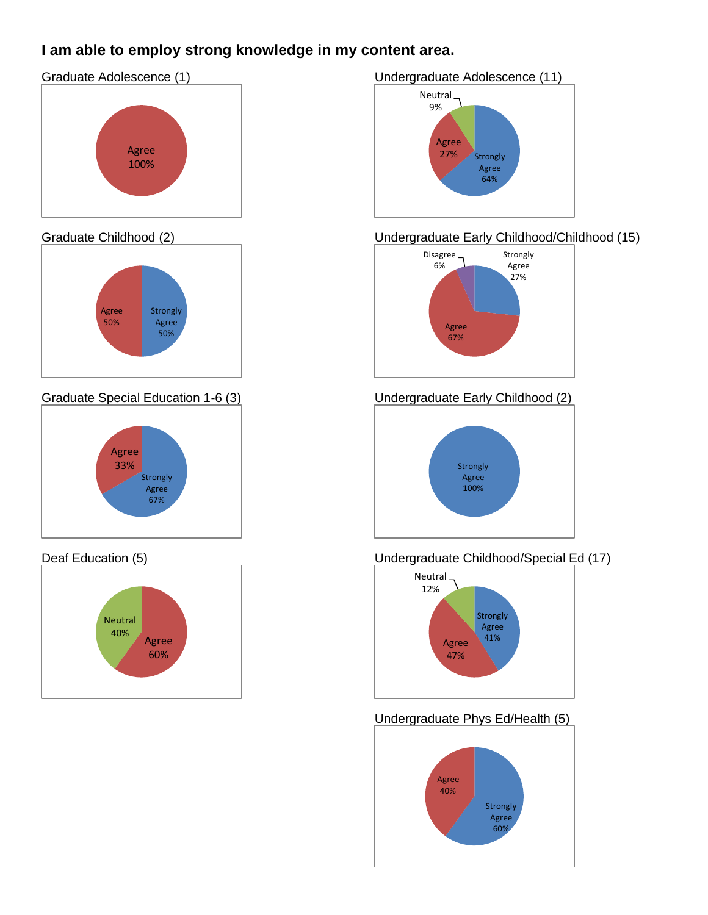## **I am able to employ strong knowledge in my content area.**

### Graduate Adolescence (1)



#### Graduate Childhood (2)



Graduate Special Education 1-6 (3)



#### Deaf Education (5)



#### Undergraduate Adolescence (11)



### Undergraduate Early Childhood/Childhood (15)



#### Undergraduate Early Childhood (2)



### Undergraduate Childhood/Special Ed (17)



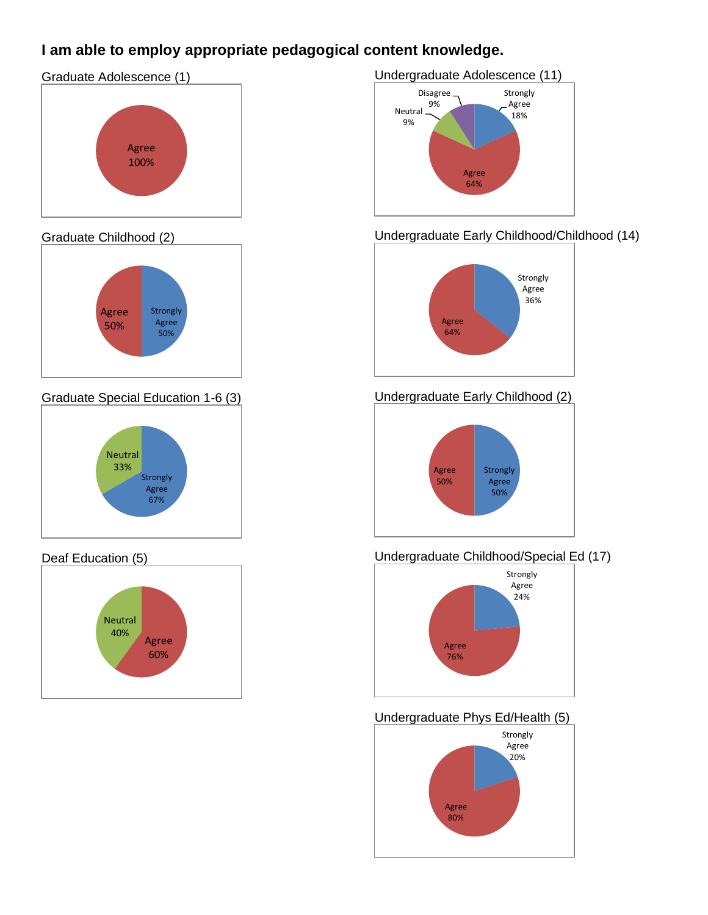## **I am able to employ appropriate pedagogical content knowledge.**

# Graduate Adolescence (1)



#### Graduate Childhood (2)



Graduate Special Education 1-6 (3)



#### Deaf Education (5)



#### Undergraduate Adolescence (11)



### Undergraduate Early Childhood/Childhood (14)



### Undergraduate Early Childhood (2)



### Undergraduate Childhood/Special Ed (17)



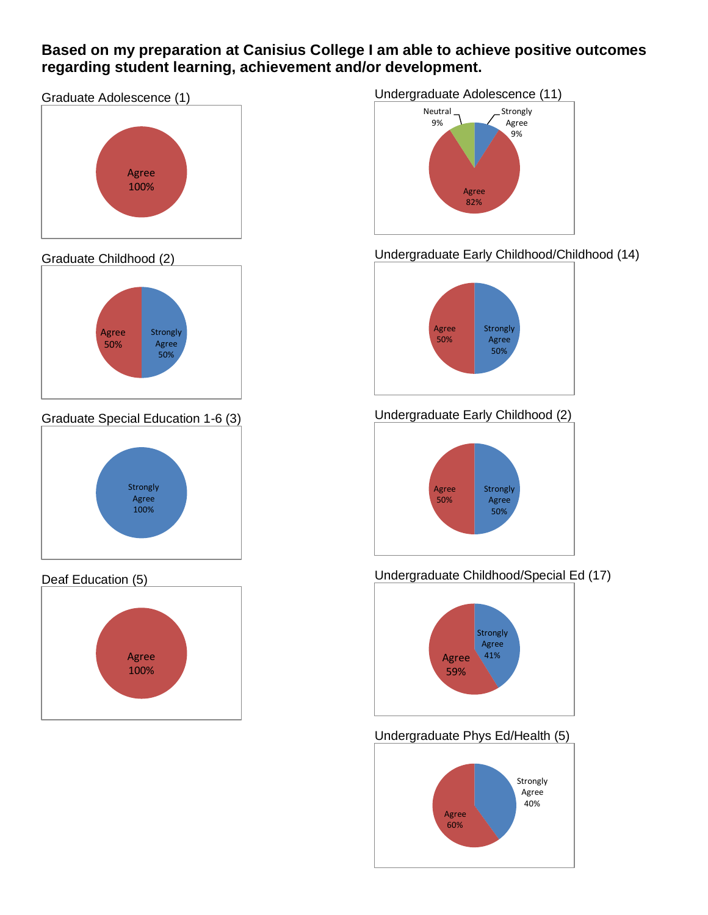### **Based on my preparation at Canisius College I am able to achieve positive outcomes regarding student learning, achievement and/or development.**





#### Graduate Childhood (2)



Graduate Special Education 1-6 (3)



#### Deaf Education (5)



#### Undergraduate Adolescence (11)



### Undergraduate Early Childhood/Childhood (14)



## Undergraduate Early Childhood (2)



#### Undergraduate Childhood/Special Ed (17)



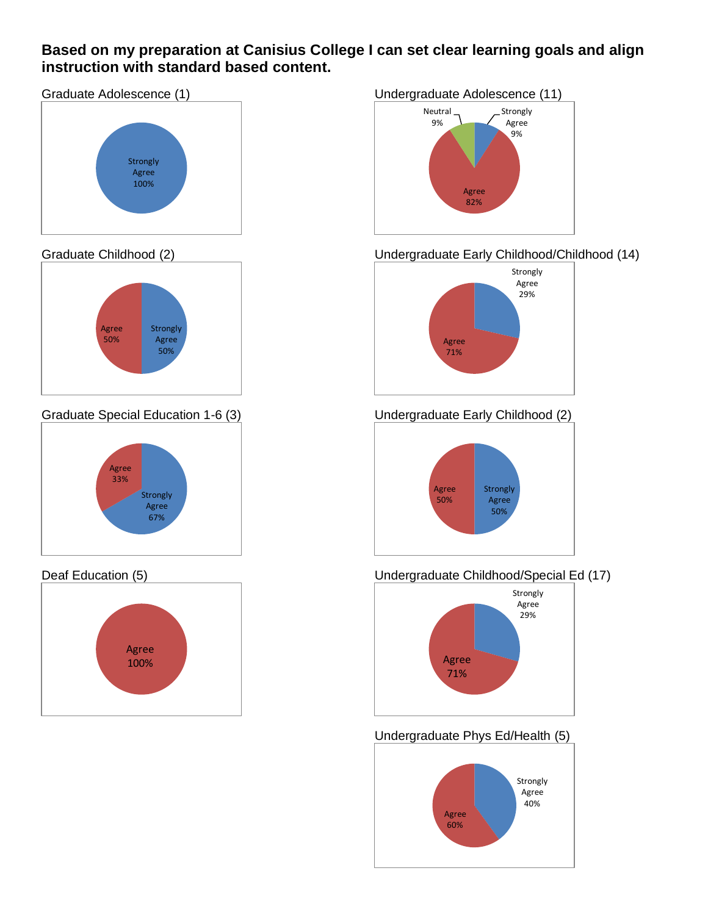### **Based on my preparation at Canisius College I can set clear learning goals and align instruction with standard based content.**





#### Graduate Childhood (2)



Graduate Special Education 1-6 (3)



#### Deaf Education (5)



#### Undergraduate Adolescence (11)



### Undergraduate Early Childhood/Childhood (14)



### Undergraduate Early Childhood (2)



#### Undergraduate Childhood/Special Ed (17)



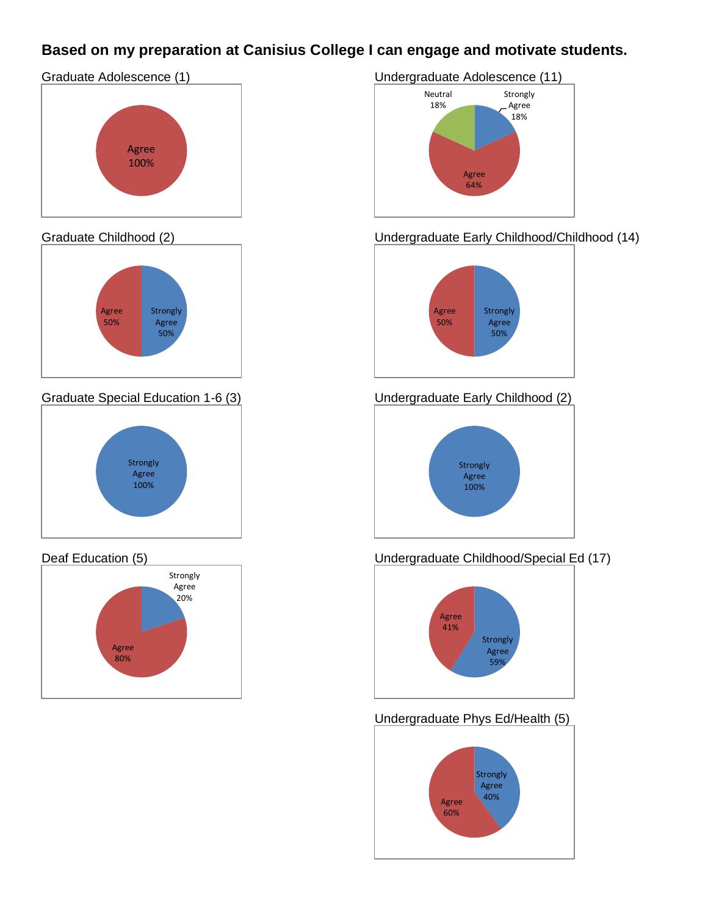## **Based on my preparation at Canisius College I can engage and motivate students.**





#### Graduate Childhood (2)



Graduate Special Education 1-6 (3)



#### Deaf Education (5)



#### Undergraduate Adolescence (11)



#### Undergraduate Early Childhood/Childhood (14)



#### Undergraduate Early Childhood (2)



### Undergraduate Childhood/Special Ed (17)



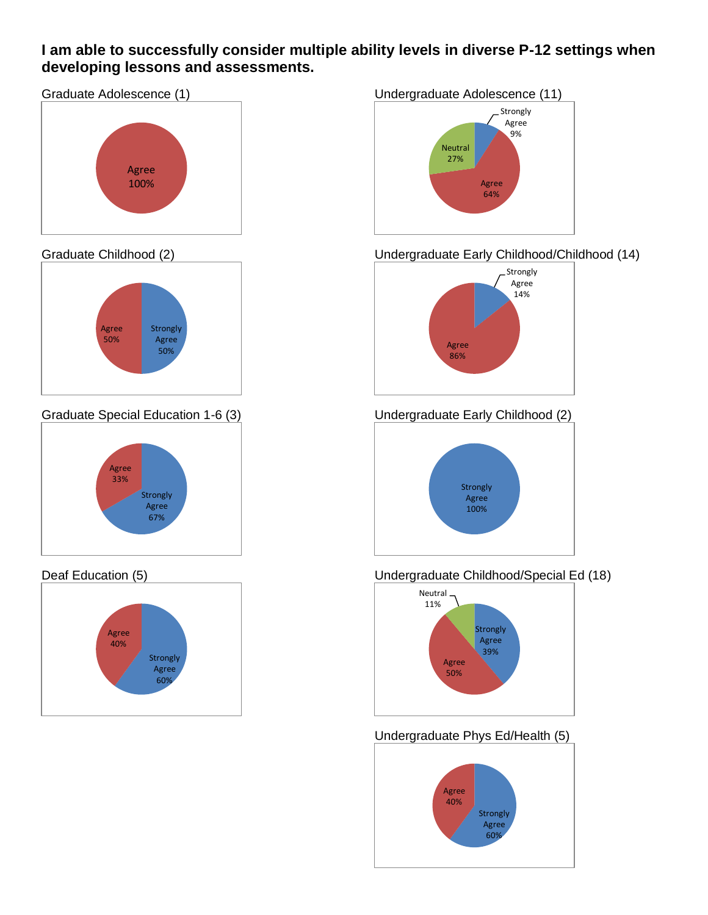### **I am able to successfully consider multiple ability levels in diverse P-12 settings when developing lessons and assessments.**





#### Graduate Childhood (2)



Graduate Special Education 1-6 (3)



#### Deaf Education (5)



#### Undergraduate Adolescence (11)



### Undergraduate Early Childhood/Childhood (14)



## Undergraduate Early Childhood (2)



#### Undergraduate Childhood/Special Ed (18)



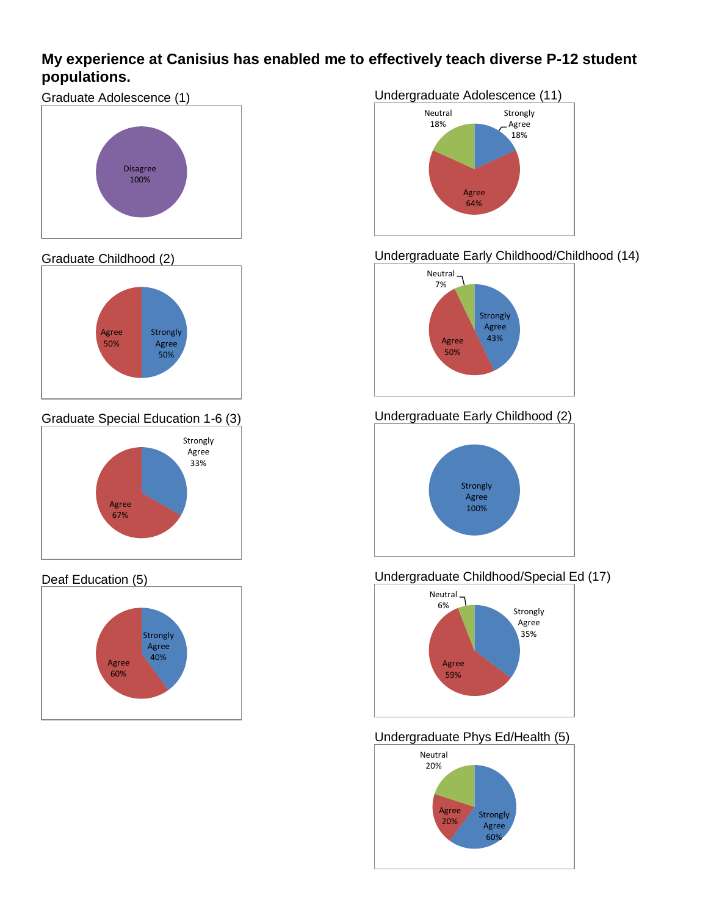### **My experience at Canisius has enabled me to effectively teach diverse P-12 student populations.**



#### Graduate Childhood (2)



Graduate Special Education 1-6 (3)



#### Deaf Education (5)



## Undergraduate Adolescence (11) Strongly Agree 18% Agree 64% Neutral 18%

#### Undergraduate Early Childhood/Childhood (14)



### Undergraduate Early Childhood (2)



#### Undergraduate Childhood/Special Ed (17)



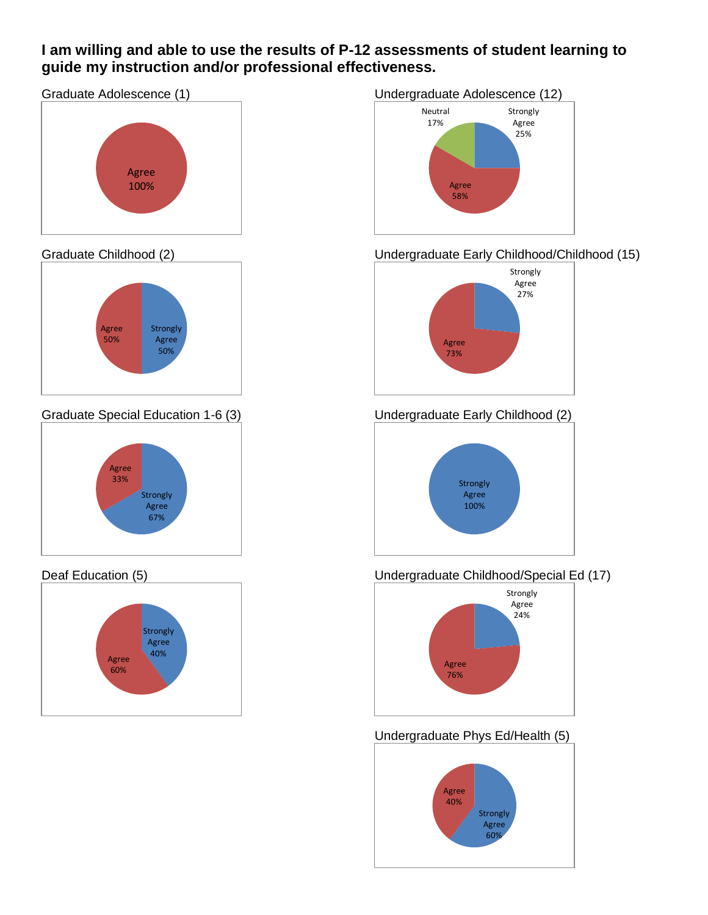### **I am willing and able to use the results of P-12 assessments of student learning to guide my instruction and/or professional effectiveness.**

Graduate Adolescence (1)



#### Graduate Childhood (2)



Graduate Special Education 1-6 (3)



#### Deaf Education (5)



### Undergraduate Adolescence (12)



### Undergraduate Early Childhood/Childhood (15)



### Undergraduate Early Childhood (2)



#### Undergraduate Childhood/Special Ed (17)



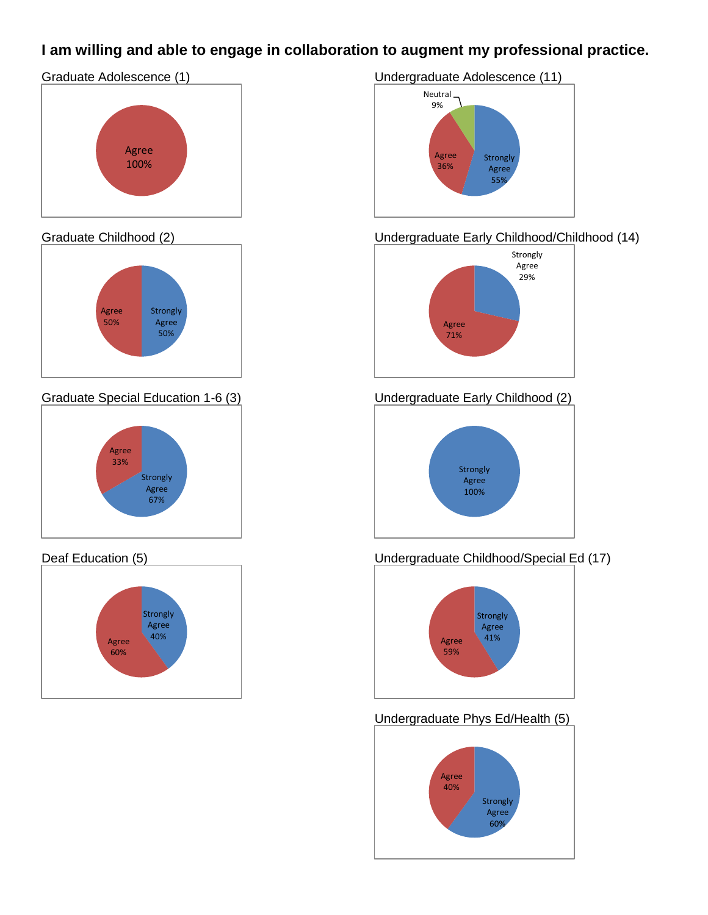## **I am willing and able to engage in collaboration to augment my professional practice.**





#### Graduate Childhood (2)



Graduate Special Education 1-6 (3)



#### Deaf Education (5)



Undergraduate Adolescence (11)



### Undergraduate Early Childhood/Childhood (14)



Undergraduate Early Childhood (2)



### Undergraduate Childhood/Special Ed (17)



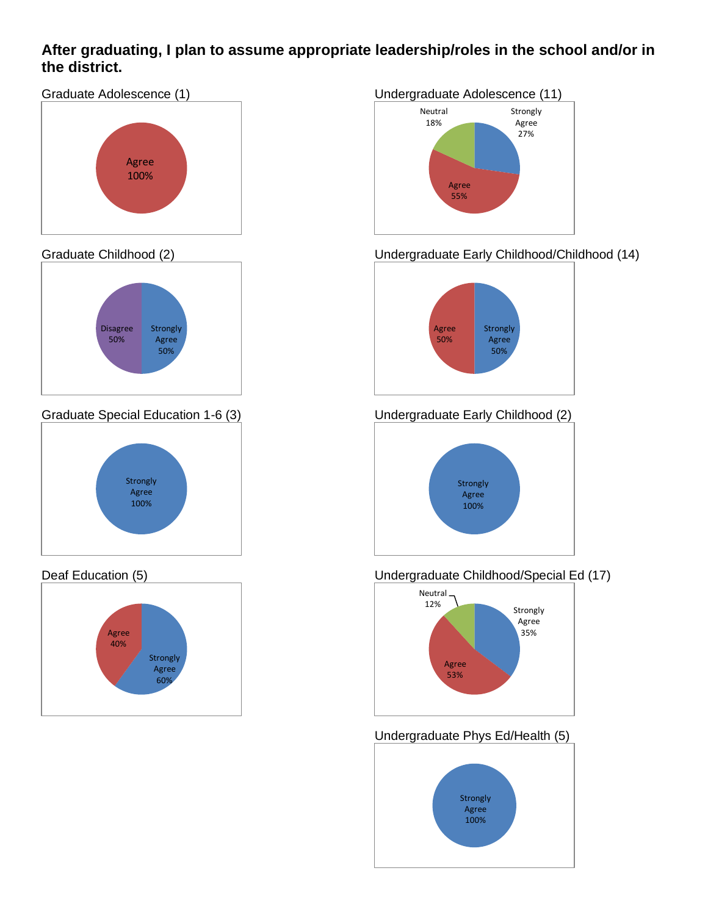### **After graduating, I plan to assume appropriate leadership/roles in the school and/or in the district.**

Graduate Adolescence (1)



#### Graduate Childhood (2)



Graduate Special Education 1-6 (3)



#### Deaf Education (5)



#### Undergraduate Adolescence (11)



### Undergraduate Early Childhood/Childhood (14)



## Undergraduate Early Childhood (2)



#### Undergraduate Childhood/Special Ed (17)



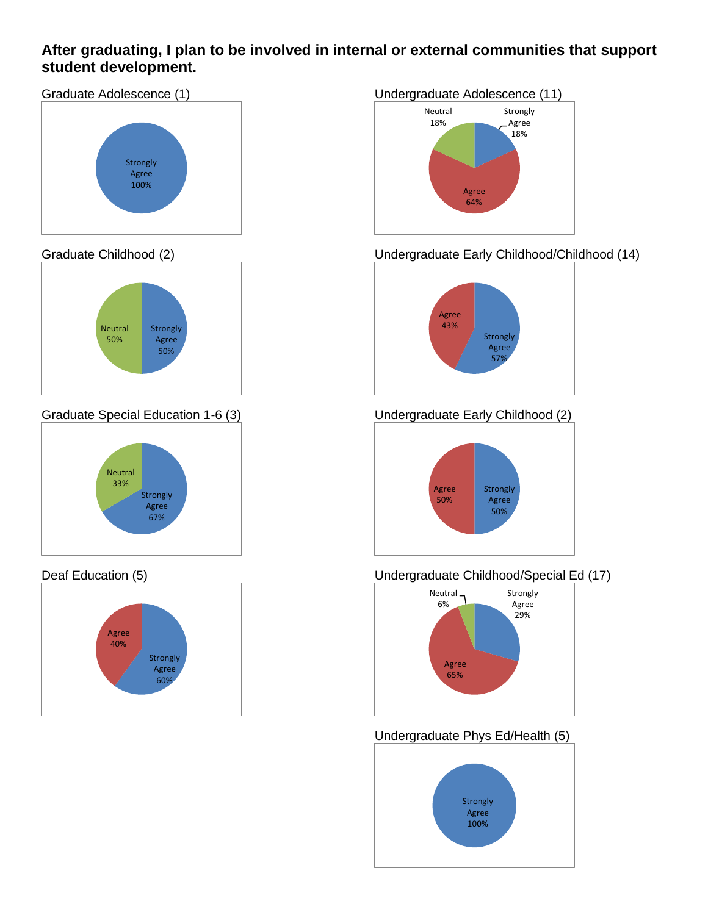### **After graduating, I plan to be involved in internal or external communities that support student development.**





#### Graduate Childhood (2)



Graduate Special Education 1-6 (3)



#### Deaf Education (5)



#### Undergraduate Adolescence (11)



### Undergraduate Early Childhood/Childhood (14)



## Undergraduate Early Childhood (2)



#### Undergraduate Childhood/Special Ed (17)



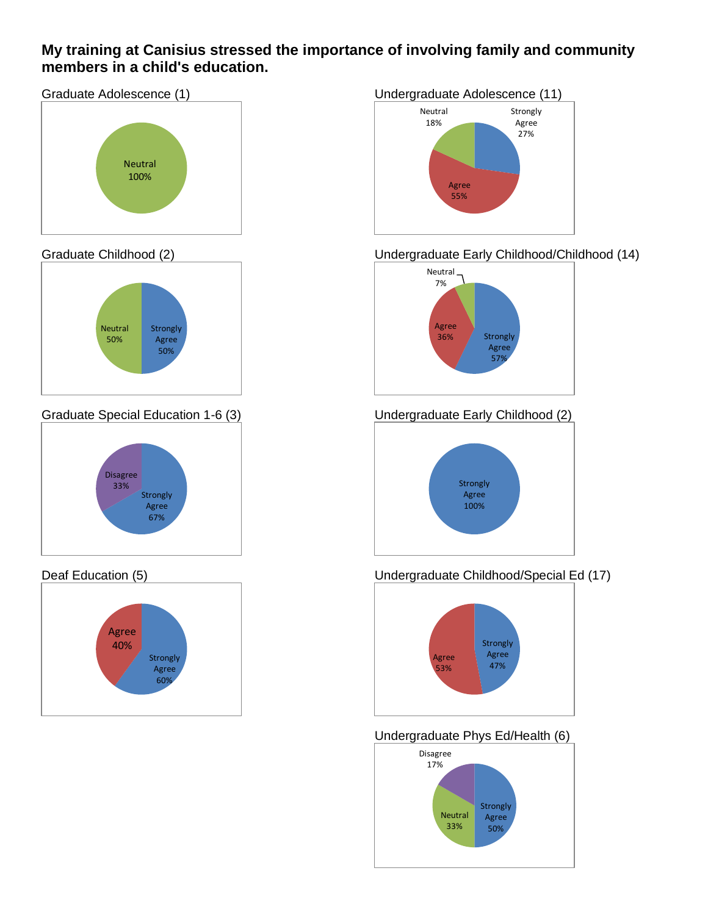### **My training at Canisius stressed the importance of involving family and community members in a child's education.**





#### Graduate Childhood (2)



Graduate Special Education 1-6 (3)



#### Deaf Education (5)



#### Undergraduate Adolescence (11)



#### Undergraduate Early Childhood/Childhood (14)



## Undergraduate Early Childhood (2)



### Undergraduate Childhood/Special Ed (17)



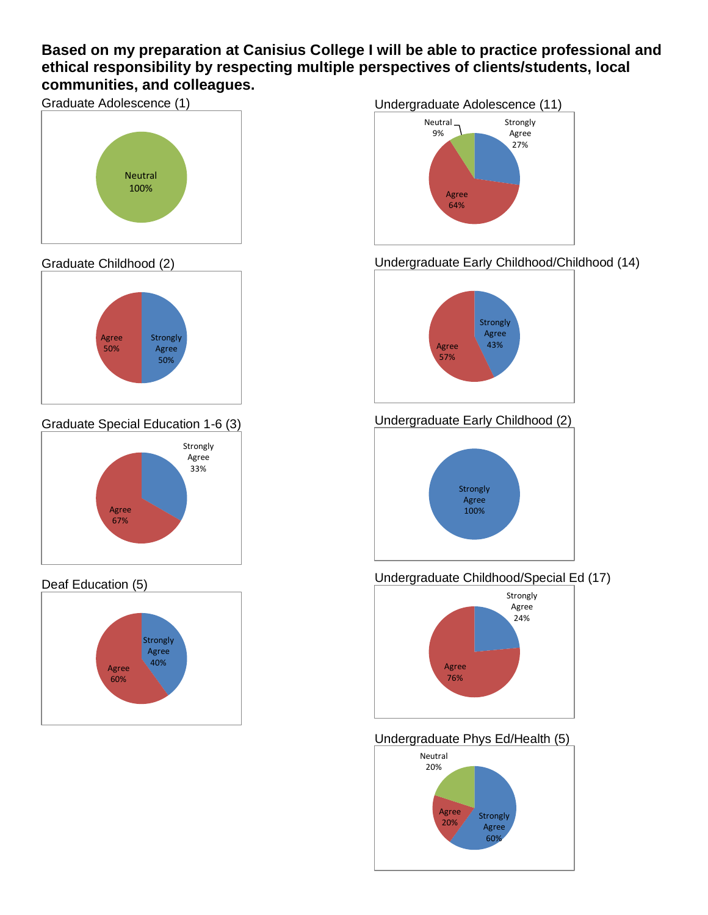### **Based on my preparation at Canisius College I will be able to practice professional and ethical responsibility by respecting multiple perspectives of clients/students, local communities, and colleagues.**



#### Graduate Childhood (2)



Graduate Special Education 1-6 (3)



### Deaf Education (5)



#### Undergraduate Adolescence (11)



### Undergraduate Early Childhood/Childhood (14)



#### Undergraduate Early Childhood (2)



#### Undergraduate Childhood/Special Ed (17)



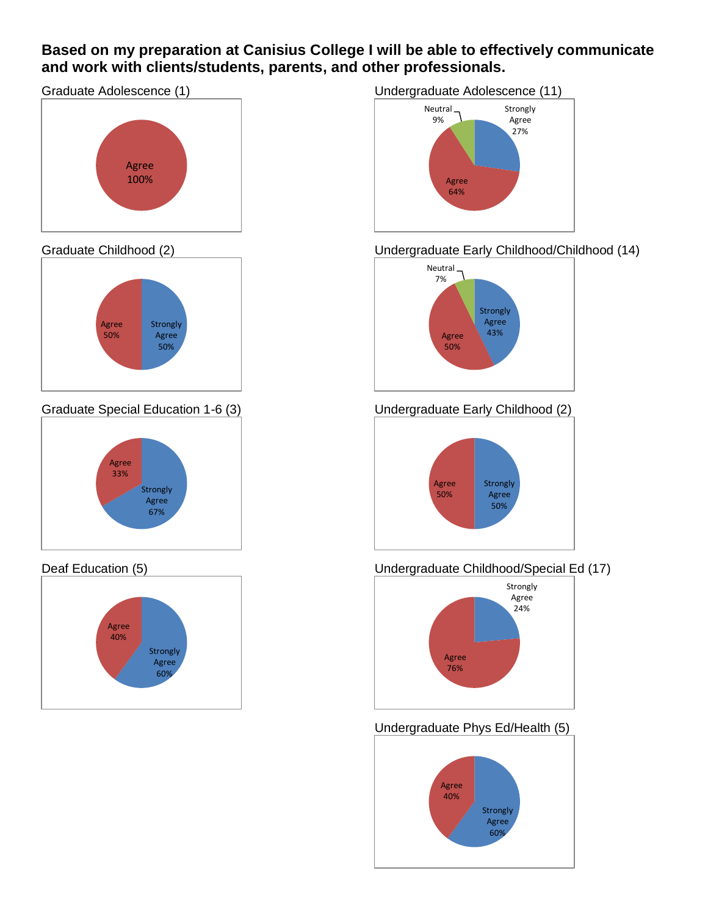### **Based on my preparation at Canisius College I will be able to effectively communicate and work with clients/students, parents, and other professionals.**

Graduate Adolescence (1)



#### Graduate Childhood (2)



Graduate Special Education 1-6 (3)



#### Deaf Education (5)



#### Undergraduate Adolescence (11)



#### Undergraduate Early Childhood/Childhood (14)



#### Undergraduate Early Childhood (2)



#### Undergraduate Childhood/Special Ed (17)



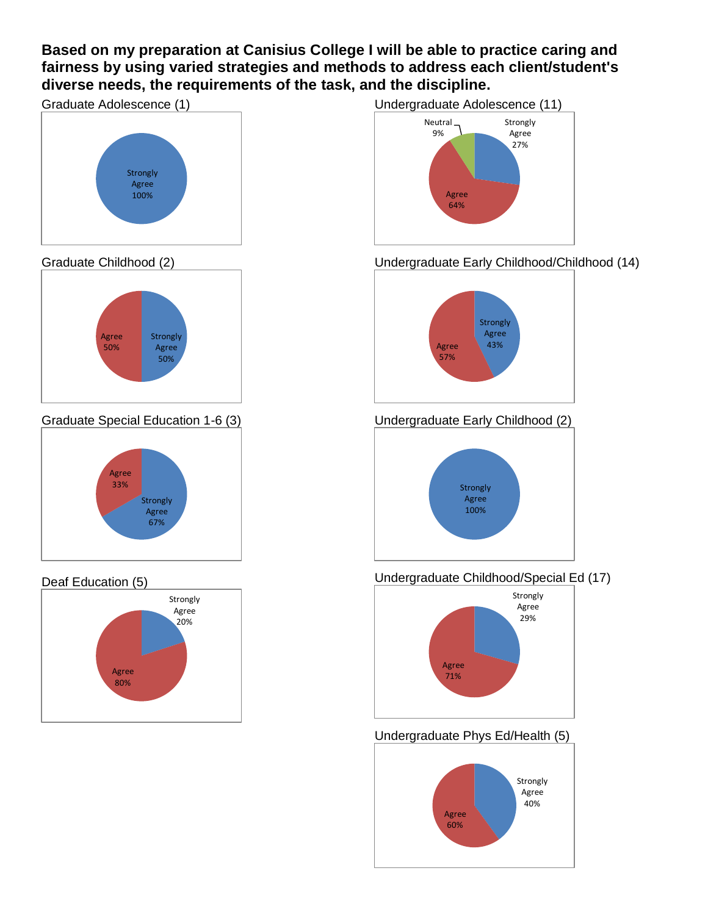### **Based on my preparation at Canisius College I will be able to practice caring and fairness by using varied strategies and methods to address each client/student's diverse needs, the requirements of the task, and the discipline.**



#### Graduate Childhood (2)



Graduate Special Education 1-6 (3)



#### Deaf Education (5)







### Undergraduate Early Childhood/Childhood (14)



Undergraduate Early Childhood (2)



### Undergraduate Childhood/Special Ed (17)



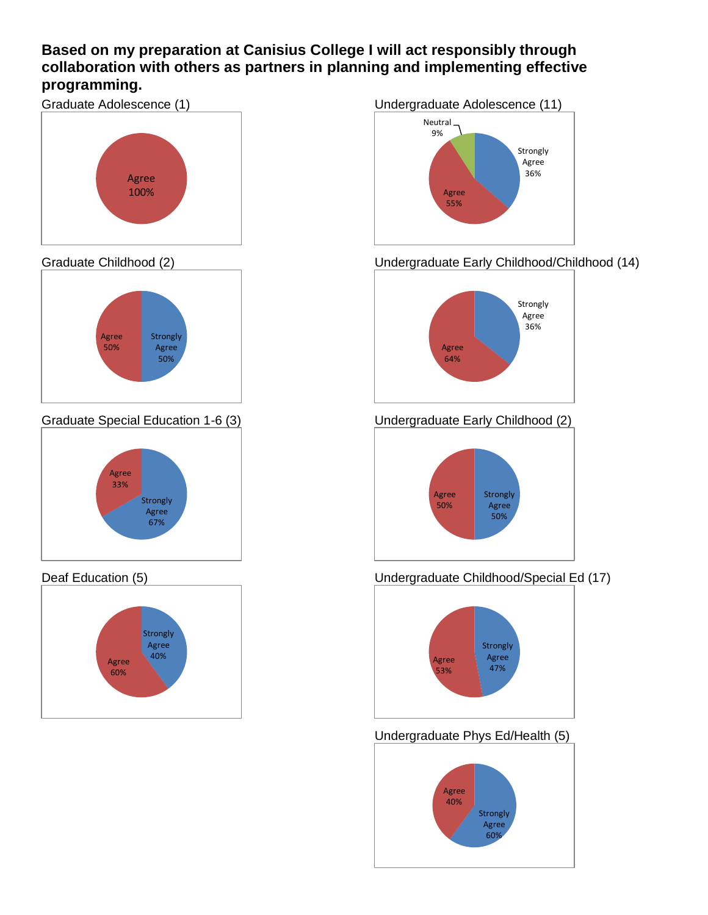### **Based on my preparation at Canisius College I will act responsibly through collaboration with others as partners in planning and implementing effective programming.**



#### Graduate Childhood (2)



Graduate Special Education 1-6 (3)



#### Deaf Education (5)



#### Undergraduate Adolescence (11)



Undergraduate Early Childhood/Childhood (14)



Undergraduate Early Childhood (2)



### Undergraduate Childhood/Special Ed (17)



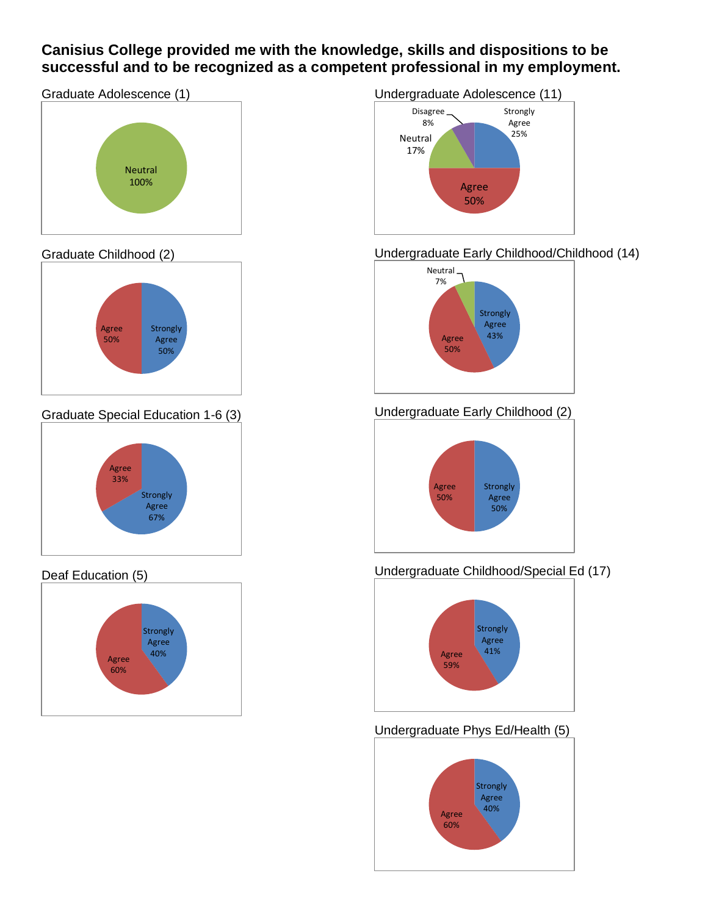### **Canisius College provided me with the knowledge, skills and dispositions to be successful and to be recognized as a competent professional in my employment.**

Graduate Adolescence (1)



#### Graduate Childhood (2)



Graduate Special Education 1-6 (3)



#### Deaf Education (5)





#### Undergraduate Early Childhood/Childhood (14)



## Undergraduate Early Childhood (2)



#### Undergraduate Childhood/Special Ed (17)



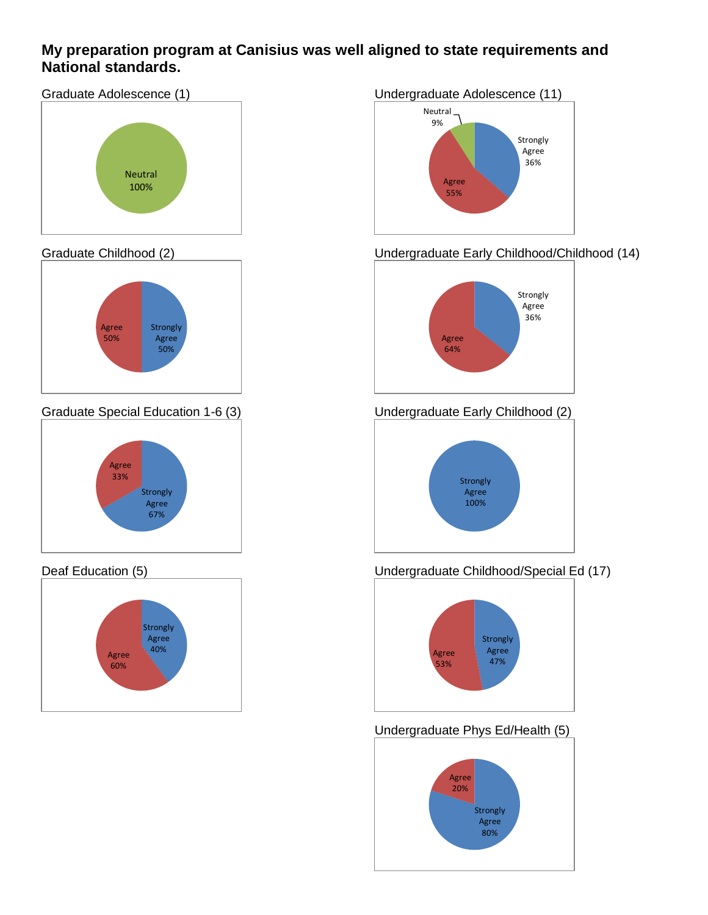### **My preparation program at Canisius was well aligned to state requirements and National standards.**

Graduate Adolescence (1)



#### Graduate Childhood (2)



Graduate Special Education 1-6 (3)



#### Deaf Education (5)



#### Undergraduate Adolescence (11) Strongly Agree 36% Agree 55% Neutral 9%

## Undergraduate Early Childhood/Childhood (14)



## Undergraduate Early Childhood (2)



#### Undergraduate Childhood/Special Ed (17)



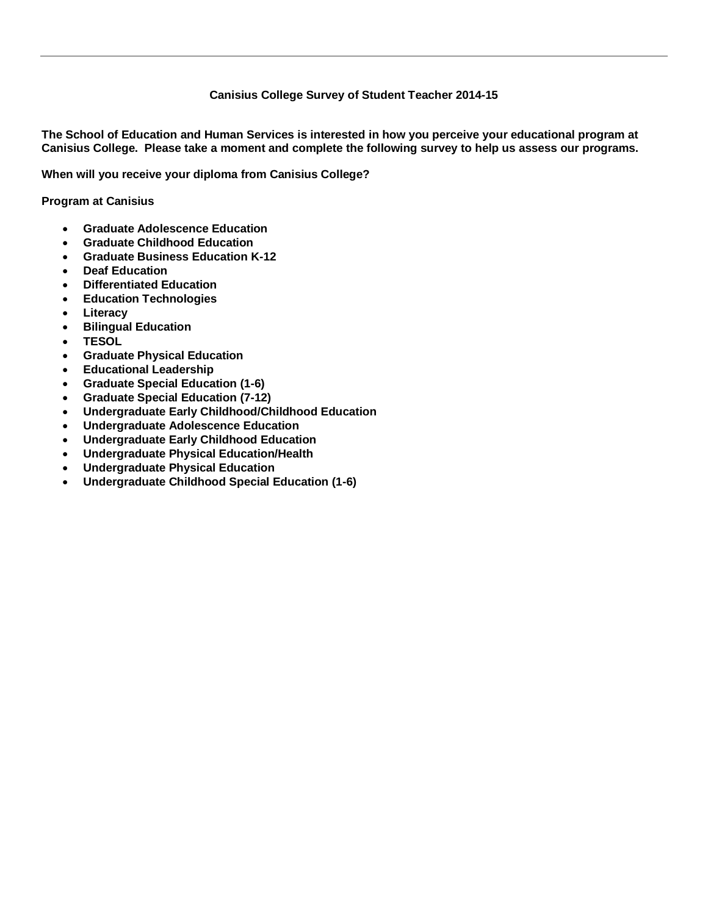#### **Canisius College Survey of Student Teacher 2014-15**

**The School of Education and Human Services is interested in how you perceive your educational program at Canisius College. Please take a moment and complete the following survey to help us assess our programs.**

**When will you receive your diploma from Canisius College?**

**Program at Canisius**

- **Graduate Adolescence Education**
- **Graduate Childhood Education**
- **Graduate Business Education K-12**
- **Deaf Education**
- **Differentiated Education**
- **Education Technologies**
- **Literacy**
- **Bilingual Education**
- **TESOL**
- **Graduate Physical Education**
- **Educational Leadership**
- **Graduate Special Education (1-6)**
- **Graduate Special Education (7-12)**
- **Undergraduate Early Childhood/Childhood Education**
- **Undergraduate Adolescence Education**
- **Undergraduate Early Childhood Education**
- **Undergraduate Physical Education/Health**
- **Undergraduate Physical Education**
- **Undergraduate Childhood Special Education (1-6)**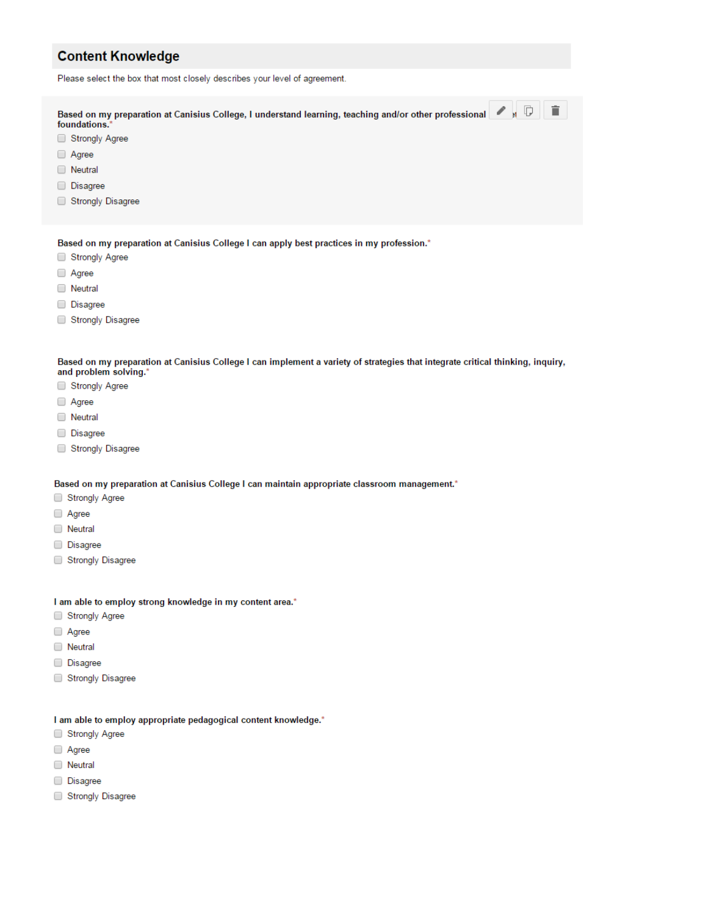#### **Content Knowledge**

Please select the box that most closely describes your level of agreement.

| Based on my preparation at Canisius College, I understand learning, teaching and/or other professional 4 5<br>foundations.* | î |
|-----------------------------------------------------------------------------------------------------------------------------|---|
| Strongly Agree                                                                                                              |   |
| $\Box$ Agree                                                                                                                |   |
| Neutral<br>$\Box$                                                                                                           |   |
| <b>Disagree</b>                                                                                                             |   |
| <b>Strongly Disagree</b>                                                                                                    |   |
|                                                                                                                             |   |

Based on my preparation at Canisius College I can apply best practices in my profession.\*

- Strongly Agree
- Agree
- **Neutral**
- **Disagree**
- Strongly Disagree

Based on my preparation at Canisius College I can implement a variety of strategies that integrate critical thinking, inquiry, and problem solving."

- Strongly Agree
- □ Agree
- □ Neutral
- Disagree
- Strongly Disagree

Based on my preparation at Canisius College I can maintain appropriate classroom management.\*

- Strongly Agree
- Agree
- □ Neutral
- Disagree
- Strongly Disagree

#### I am able to employ strong knowledge in my content area.\*

- Strongly Agree
- □ Agree
- □ Neutral
- Disagree
- Strongly Disagree

#### I am able to employ appropriate pedagogical content knowledge.\*

- Strongly Agree
- Agree
- **Neutral**
- Disagree
- Strongly Disagree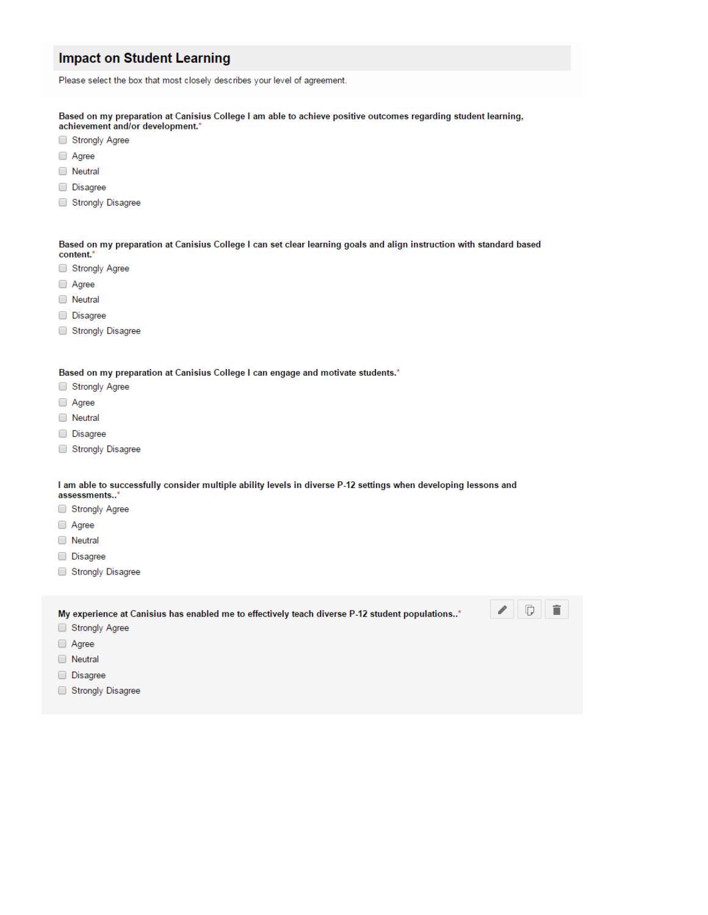#### **Impact on Student Learning**

Please select the box that most closely describes your level of agreement.

Based on my preparation at Canisius College I am able to achieve positive outcomes regarding student learning, achievement and/or development.\*

- Strongly Agree
- Agree
- **Neutral**
- Disagree
- Strongly Disagree

Based on my preparation at Canisius College I can set clear learning goals and align instruction with standard based content.'

- Strongly Agree
- Agree
- **Neutral**
- Disagree
- Strongly Disagree

Based on my preparation at Canisius College I can engage and motivate students.\*

- Strongly Agree
- Agree
- **Neutral**
- **Disagree**
- Strongly Disagree

I am able to successfully consider multiple ability levels in diverse P-12 settings when developing lessons and assessments..'

- Strongly Agree
- □ Agree
- 
- **Neutral**
- **Disagree**
- Strongly Disagree

My experience at Canisius has enabled me to effectively teach diverse P-12 student populations..\*



- Strongly Agree
- Agree
- Neutral
- Disagree
- Strongly Disagree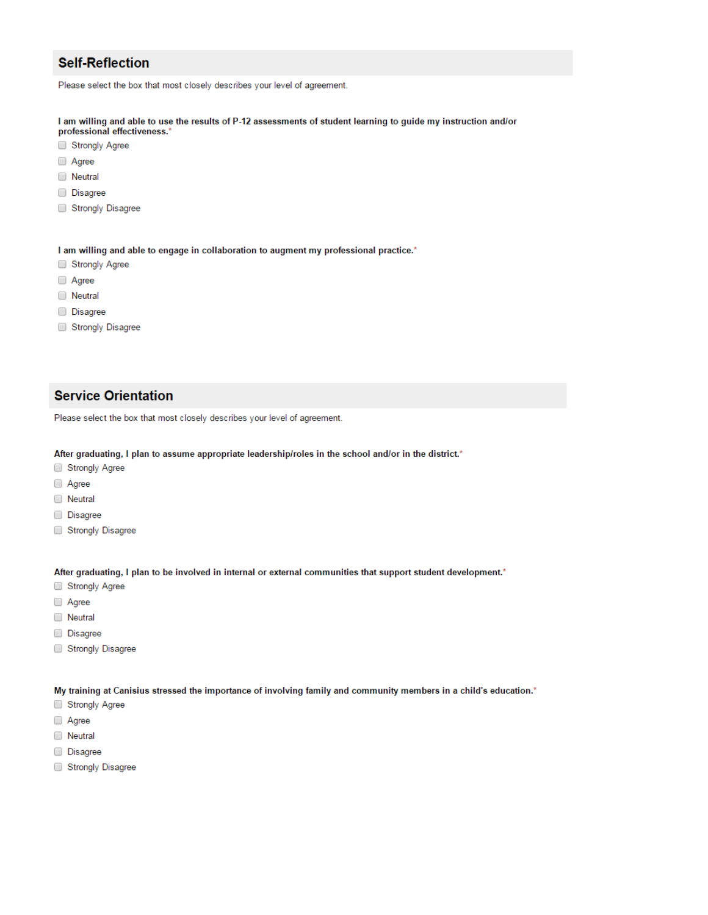#### **Self-Reflection**

Please select the box that most closely describes your level of agreement.

I am willing and able to use the results of P-12 assessments of student learning to guide my instruction and/or

- professional effectiveness.\*
- Strongly Agree
- □ Agree
- **Neutral**
- **Disagree**
- Strongly Disagree

I am willing and able to engage in collaboration to augment my professional practice.\*

- Strongly Agree
- Agree
- **Neutral**
- **Disagree**
- Strongly Disagree

#### **Service Orientation**

Please select the box that most closely describes your level of agreement.

After graduating, I plan to assume appropriate leadership/roles in the school and/or in the district.\*

- Strongly Agree
- Agree
- **Neutral**
- Disagree
- Strongly Disagree

After graduating, I plan to be involved in internal or external communities that support student development.\*

- Strongly Agree
- Agree
- **Neutral**
- Disagree
- Strongly Disagree

My training at Canisius stressed the importance of involving family and community members in a child's education.\*

- Strongly Agree
- Agree
- **Neutral**
- Disagree
- Strongly Disagree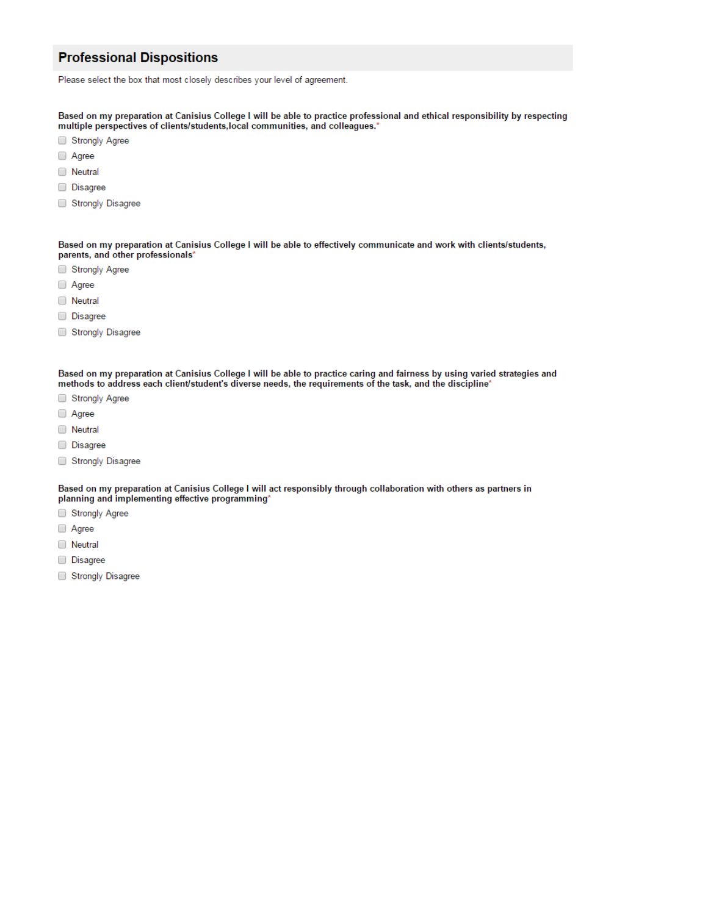#### **Professional Dispositions**

Please select the box that most closely describes your level of agreement.

Based on my preparation at Canisius College I will be able to practice professional and ethical responsibility by respecting multiple perspectives of clients/students, local communities, and colleagues.\*

- Strongly Agree
- □ Agree
- **Neutral**
- Disagree
- 
- Strongly Disagree

Based on my preparation at Canisius College I will be able to effectively communicate and work with clients/students, parents, and other professionals\*

- Strongly Agree
- Agree
- □ Neutral
- Disagree
- Strongly Disagree

Based on my preparation at Canisius College I will be able to practice caring and fairness by using varied strategies and methods to address each client/student's diverse needs, the requirements of the task, and the discipline'

- Strongly Agree
- Agree
- **Neutral**
- Disagree
- Strongly Disagree

Based on my preparation at Canisius College I will act responsibly through collaboration with others as partners in planning and implementing effective programming'

- Strongly Agree
- Agree
- **Neutral**
- **Disagree**
- Strongly Disagree